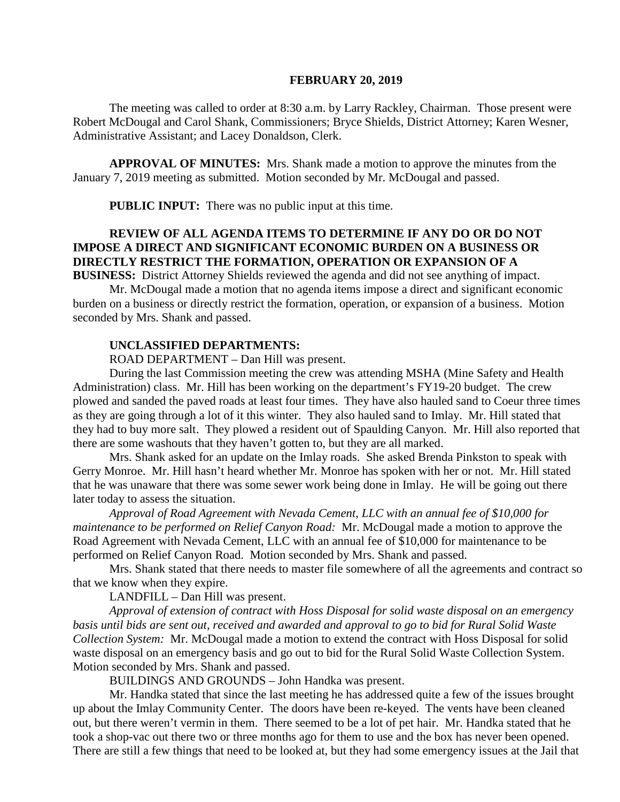#### **FEBRUARY 20, 2019**

The meeting was called to order at 8:30 a.m. by Larry Rackley, Chairman. Those present were Robert McDougal and Carol Shank, Commissioners; Bryce Shields, District Attorney; Karen Wesner, Administrative Assistant; and Lacey Donaldson, Clerk.

**APPROVAL OF MINUTES:** Mrs. Shank made a motion to approve the minutes from the January 7, 2019 meeting as submitted. Motion seconded by Mr. McDougal and passed.

 **PUBLIC INPUT:** There was no public input at this time.

# **REVIEW OF ALL AGENDA ITEMS TO DETERMINE IF ANY DO OR DO NOT IMPOSE A DIRECT AND SIGNIFICANT ECONOMIC BURDEN ON A BUSINESS OR DIRECTLY RESTRICT THE FORMATION, OPERATION OR EXPANSION OF A**

**BUSINESS:** District Attorney Shields reviewed the agenda and did not see anything of impact. Mr. McDougal made a motion that no agenda items impose a direct and significant economic

burden on a business or directly restrict the formation, operation, or expansion of a business. Motion seconded by Mrs. Shank and passed.

#### **UNCLASSIFIED DEPARTMENTS:**

ROAD DEPARTMENT – Dan Hill was present.

During the last Commission meeting the crew was attending MSHA (Mine Safety and Health Administration) class. Mr. Hill has been working on the department's FY19-20 budget. The crew plowed and sanded the paved roads at least four times. They have also hauled sand to Coeur three times as they are going through a lot of it this winter. They also hauled sand to Imlay. Mr. Hill stated that they had to buy more salt. They plowed a resident out of Spaulding Canyon. Mr. Hill also reported that there are some washouts that they haven't gotten to, but they are all marked.

Mrs. Shank asked for an update on the Imlay roads. She asked Brenda Pinkston to speak with Gerry Monroe. Mr. Hill hasn't heard whether Mr. Monroe has spoken with her or not. Mr. Hill stated that he was unaware that there was some sewer work being done in Imlay. He will be going out there later today to assess the situation.

*Approval of Road Agreement with Nevada Cement, LLC with an annual fee of \$10,000 for maintenance to be performed on Relief Canyon Road:* Mr. McDougal made a motion to approve the Road Agreement with Nevada Cement, LLC with an annual fee of \$10,000 for maintenance to be performed on Relief Canyon Road. Motion seconded by Mrs. Shank and passed.

Mrs. Shank stated that there needs to master file somewhere of all the agreements and contract so that we know when they expire.

LANDFILL – Dan Hill was present.

*Approval of extension of contract with Hoss Disposal for solid waste disposal on an emergency basis until bids are sent out, received and awarded and approval to go to bid for Rural Solid Waste Collection System:* Mr. McDougal made a motion to extend the contract with Hoss Disposal for solid waste disposal on an emergency basis and go out to bid for the Rural Solid Waste Collection System. Motion seconded by Mrs. Shank and passed.

BUILDINGS AND GROUNDS – John Handka was present.

Mr. Handka stated that since the last meeting he has addressed quite a few of the issues brought up about the Imlay Community Center. The doors have been re-keyed. The vents have been cleaned out, but there weren't vermin in them. There seemed to be a lot of pet hair. Mr. Handka stated that he took a shop-vac out there two or three months ago for them to use and the box has never been opened. There are still a few things that need to be looked at, but they had some emergency issues at the Jail that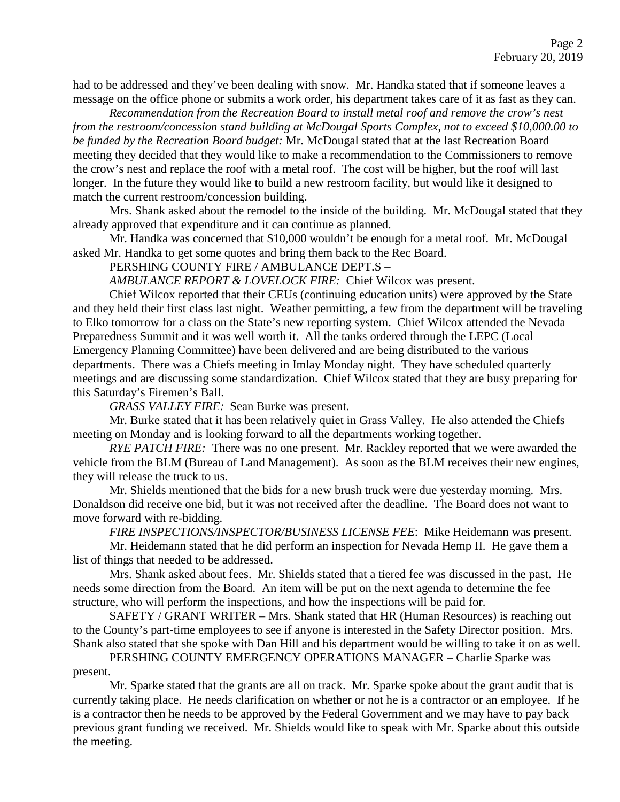had to be addressed and they've been dealing with snow. Mr. Handka stated that if someone leaves a message on the office phone or submits a work order, his department takes care of it as fast as they can.

*Recommendation from the Recreation Board to install metal roof and remove the crow's nest from the restroom/concession stand building at McDougal Sports Complex, not to exceed \$10,000.00 to be funded by the Recreation Board budget:* Mr. McDougal stated that at the last Recreation Board meeting they decided that they would like to make a recommendation to the Commissioners to remove the crow's nest and replace the roof with a metal roof. The cost will be higher, but the roof will last longer. In the future they would like to build a new restroom facility, but would like it designed to match the current restroom/concession building.

Mrs. Shank asked about the remodel to the inside of the building. Mr. McDougal stated that they already approved that expenditure and it can continue as planned.

Mr. Handka was concerned that \$10,000 wouldn't be enough for a metal roof. Mr. McDougal asked Mr. Handka to get some quotes and bring them back to the Rec Board.

PERSHING COUNTY FIRE / AMBULANCE DEPT.S –

*AMBULANCE REPORT & LOVELOCK FIRE:* Chief Wilcox was present.

Chief Wilcox reported that their CEUs (continuing education units) were approved by the State and they held their first class last night. Weather permitting, a few from the department will be traveling to Elko tomorrow for a class on the State's new reporting system. Chief Wilcox attended the Nevada Preparedness Summit and it was well worth it. All the tanks ordered through the LEPC (Local Emergency Planning Committee) have been delivered and are being distributed to the various departments. There was a Chiefs meeting in Imlay Monday night. They have scheduled quarterly meetings and are discussing some standardization. Chief Wilcox stated that they are busy preparing for this Saturday's Firemen's Ball.

*GRASS VALLEY FIRE:* Sean Burke was present.

Mr. Burke stated that it has been relatively quiet in Grass Valley. He also attended the Chiefs meeting on Monday and is looking forward to all the departments working together.

*RYE PATCH FIRE:* There was no one present. Mr. Rackley reported that we were awarded the vehicle from the BLM (Bureau of Land Management). As soon as the BLM receives their new engines, they will release the truck to us.

Mr. Shields mentioned that the bids for a new brush truck were due yesterday morning. Mrs. Donaldson did receive one bid, but it was not received after the deadline. The Board does not want to move forward with re-bidding.

*FIRE INSPECTIONS/INSPECTOR/BUSINESS LICENSE FEE*: Mike Heidemann was present.

Mr. Heidemann stated that he did perform an inspection for Nevada Hemp II. He gave them a list of things that needed to be addressed.

Mrs. Shank asked about fees. Mr. Shields stated that a tiered fee was discussed in the past. He needs some direction from the Board. An item will be put on the next agenda to determine the fee structure, who will perform the inspections, and how the inspections will be paid for.

SAFETY / GRANT WRITER – Mrs. Shank stated that HR (Human Resources) is reaching out to the County's part-time employees to see if anyone is interested in the Safety Director position. Mrs. Shank also stated that she spoke with Dan Hill and his department would be willing to take it on as well.

PERSHING COUNTY EMERGENCY OPERATIONS MANAGER – Charlie Sparke was present.

Mr. Sparke stated that the grants are all on track. Mr. Sparke spoke about the grant audit that is currently taking place. He needs clarification on whether or not he is a contractor or an employee. If he is a contractor then he needs to be approved by the Federal Government and we may have to pay back previous grant funding we received. Mr. Shields would like to speak with Mr. Sparke about this outside the meeting.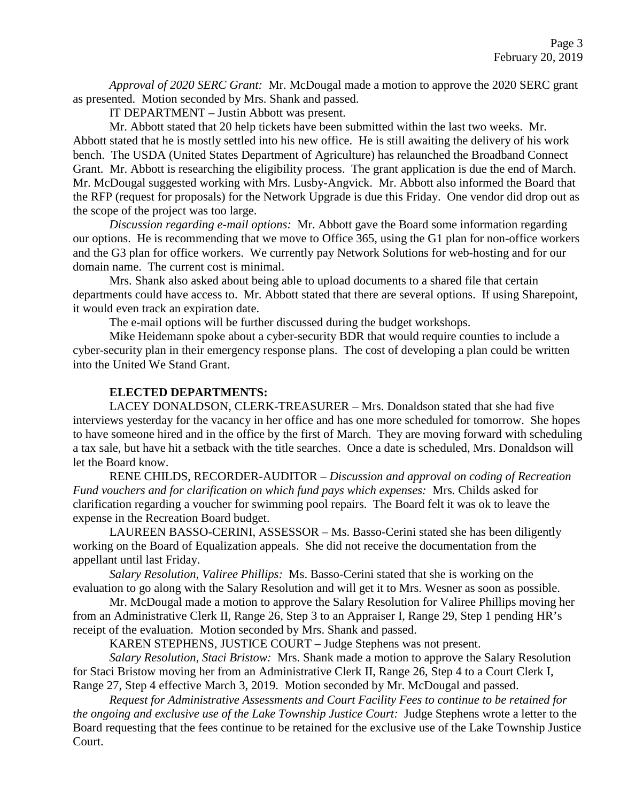*Approval of 2020 SERC Grant:* Mr. McDougal made a motion to approve the 2020 SERC grant as presented. Motion seconded by Mrs. Shank and passed.

IT DEPARTMENT – Justin Abbott was present.

Mr. Abbott stated that 20 help tickets have been submitted within the last two weeks. Mr. Abbott stated that he is mostly settled into his new office. He is still awaiting the delivery of his work bench. The USDA (United States Department of Agriculture) has relaunched the Broadband Connect Grant. Mr. Abbott is researching the eligibility process. The grant application is due the end of March. Mr. McDougal suggested working with Mrs. Lusby-Angvick. Mr. Abbott also informed the Board that the RFP (request for proposals) for the Network Upgrade is due this Friday. One vendor did drop out as the scope of the project was too large.

*Discussion regarding e-mail options:* Mr. Abbott gave the Board some information regarding our options. He is recommending that we move to Office 365, using the G1 plan for non-office workers and the G3 plan for office workers. We currently pay Network Solutions for web-hosting and for our domain name. The current cost is minimal.

Mrs. Shank also asked about being able to upload documents to a shared file that certain departments could have access to. Mr. Abbott stated that there are several options. If using Sharepoint, it would even track an expiration date.

The e-mail options will be further discussed during the budget workshops.

Mike Heidemann spoke about a cyber-security BDR that would require counties to include a cyber-security plan in their emergency response plans. The cost of developing a plan could be written into the United We Stand Grant.

## **ELECTED DEPARTMENTS:**

LACEY DONALDSON, CLERK-TREASURER – Mrs. Donaldson stated that she had five interviews yesterday for the vacancy in her office and has one more scheduled for tomorrow. She hopes to have someone hired and in the office by the first of March. They are moving forward with scheduling a tax sale, but have hit a setback with the title searches. Once a date is scheduled, Mrs. Donaldson will let the Board know.

RENE CHILDS, RECORDER-AUDITOR – *Discussion and approval on coding of Recreation Fund vouchers and for clarification on which fund pays which expenses:* Mrs. Childs asked for clarification regarding a voucher for swimming pool repairs. The Board felt it was ok to leave the expense in the Recreation Board budget.

LAUREEN BASSO-CERINI, ASSESSOR – Ms. Basso-Cerini stated she has been diligently working on the Board of Equalization appeals. She did not receive the documentation from the appellant until last Friday.

*Salary Resolution, Valiree Phillips:* Ms. Basso-Cerini stated that she is working on the evaluation to go along with the Salary Resolution and will get it to Mrs. Wesner as soon as possible.

Mr. McDougal made a motion to approve the Salary Resolution for Valiree Phillips moving her from an Administrative Clerk II, Range 26, Step 3 to an Appraiser I, Range 29, Step 1 pending HR's receipt of the evaluation. Motion seconded by Mrs. Shank and passed.

KAREN STEPHENS, JUSTICE COURT – Judge Stephens was not present.

*Salary Resolution, Staci Bristow:* Mrs. Shank made a motion to approve the Salary Resolution for Staci Bristow moving her from an Administrative Clerk II, Range 26, Step 4 to a Court Clerk I, Range 27, Step 4 effective March 3, 2019. Motion seconded by Mr. McDougal and passed.

*Request for Administrative Assessments and Court Facility Fees to continue to be retained for the ongoing and exclusive use of the Lake Township Justice Court:* Judge Stephens wrote a letter to the Board requesting that the fees continue to be retained for the exclusive use of the Lake Township Justice Court.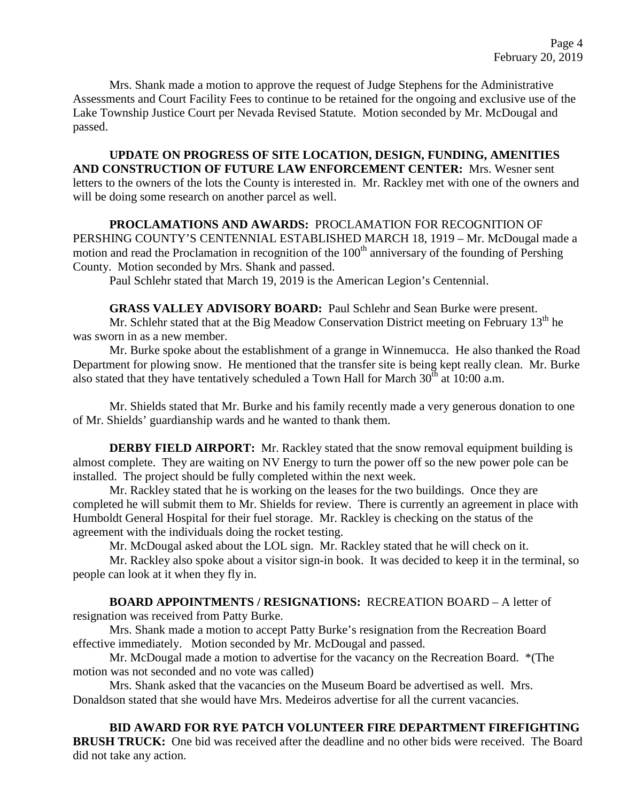Mrs. Shank made a motion to approve the request of Judge Stephens for the Administrative Assessments and Court Facility Fees to continue to be retained for the ongoing and exclusive use of the Lake Township Justice Court per Nevada Revised Statute. Motion seconded by Mr. McDougal and passed.

**UPDATE ON PROGRESS OF SITE LOCATION, DESIGN, FUNDING, AMENITIES AND CONSTRUCTION OF FUTURE LAW ENFORCEMENT CENTER:** Mrs. Wesner sent letters to the owners of the lots the County is interested in. Mr. Rackley met with one of the owners and will be doing some research on another parcel as well.

## **PROCLAMATIONS AND AWARDS:** PROCLAMATION FOR RECOGNITION OF

PERSHING COUNTY'S CENTENNIAL ESTABLISHED MARCH 18, 1919 – Mr. McDougal made a motion and read the Proclamation in recognition of the  $100<sup>th</sup>$  anniversary of the founding of Pershing County. Motion seconded by Mrs. Shank and passed.

Paul Schlehr stated that March 19, 2019 is the American Legion's Centennial.

**GRASS VALLEY ADVISORY BOARD:** Paul Schlehr and Sean Burke were present. Mr. Schlehr stated that at the Big Meadow Conservation District meeting on February  $13<sup>th</sup>$  he

was sworn in as a new member.

Mr. Burke spoke about the establishment of a grange in Winnemucca. He also thanked the Road Department for plowing snow. He mentioned that the transfer site is being kept really clean. Mr. Burke also stated that they have tentatively scheduled a Town Hall for March  $30^{th}$  at 10:00 a.m.

Mr. Shields stated that Mr. Burke and his family recently made a very generous donation to one of Mr. Shields' guardianship wards and he wanted to thank them.

**DERBY FIELD AIRPORT:** Mr. Rackley stated that the snow removal equipment building is almost complete. They are waiting on NV Energy to turn the power off so the new power pole can be installed. The project should be fully completed within the next week.

Mr. Rackley stated that he is working on the leases for the two buildings. Once they are completed he will submit them to Mr. Shields for review. There is currently an agreement in place with Humboldt General Hospital for their fuel storage. Mr. Rackley is checking on the status of the agreement with the individuals doing the rocket testing.

Mr. McDougal asked about the LOL sign. Mr. Rackley stated that he will check on it.

Mr. Rackley also spoke about a visitor sign-in book. It was decided to keep it in the terminal, so people can look at it when they fly in.

# **BOARD APPOINTMENTS / RESIGNATIONS:** RECREATION BOARD – A letter of

resignation was received from Patty Burke.

Mrs. Shank made a motion to accept Patty Burke's resignation from the Recreation Board effective immediately. Motion seconded by Mr. McDougal and passed.

Mr. McDougal made a motion to advertise for the vacancy on the Recreation Board. \*(The motion was not seconded and no vote was called)

Mrs. Shank asked that the vacancies on the Museum Board be advertised as well. Mrs. Donaldson stated that she would have Mrs. Medeiros advertise for all the current vacancies.

**BID AWARD FOR RYE PATCH VOLUNTEER FIRE DEPARTMENT FIREFIGHTING BRUSH TRUCK:** One bid was received after the deadline and no other bids were received. The Board did not take any action.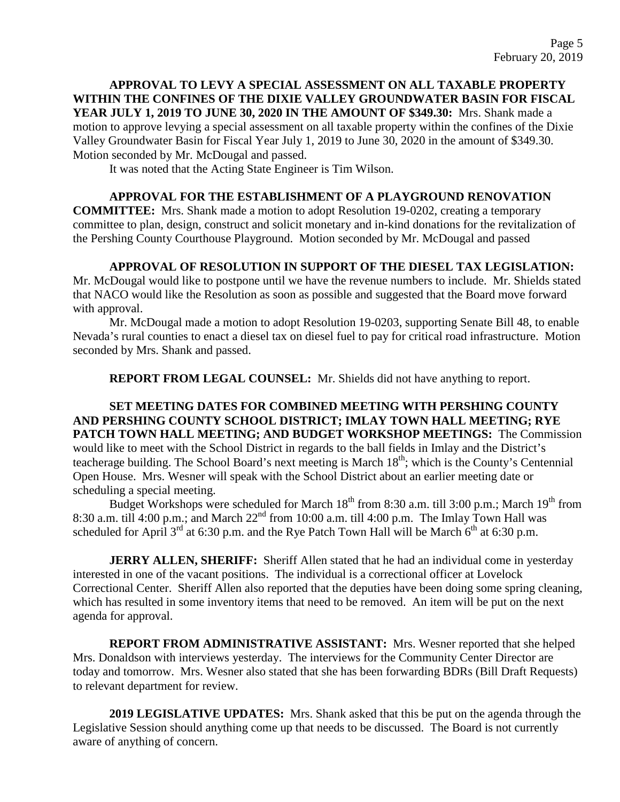**APPROVAL TO LEVY A SPECIAL ASSESSMENT ON ALL TAXABLE PROPERTY WITHIN THE CONFINES OF THE DIXIE VALLEY GROUNDWATER BASIN FOR FISCAL YEAR JULY 1, 2019 TO JUNE 30, 2020 IN THE AMOUNT OF \$349.30:** Mrs. Shank made a motion to approve levying a special assessment on all taxable property within the confines of the Dixie Valley Groundwater Basin for Fiscal Year July 1, 2019 to June 30, 2020 in the amount of \$349.30. Motion seconded by Mr. McDougal and passed.

It was noted that the Acting State Engineer is Tim Wilson.

#### **APPROVAL FOR THE ESTABLISHMENT OF A PLAYGROUND RENOVATION**

**COMMITTEE:** Mrs. Shank made a motion to adopt Resolution 19-0202, creating a temporary committee to plan, design, construct and solicit monetary and in-kind donations for the revitalization of the Pershing County Courthouse Playground. Motion seconded by Mr. McDougal and passed

**APPROVAL OF RESOLUTION IN SUPPORT OF THE DIESEL TAX LEGISLATION:** 

Mr. McDougal would like to postpone until we have the revenue numbers to include. Mr. Shields stated that NACO would like the Resolution as soon as possible and suggested that the Board move forward with approval.

Mr. McDougal made a motion to adopt Resolution 19-0203, supporting Senate Bill 48, to enable Nevada's rural counties to enact a diesel tax on diesel fuel to pay for critical road infrastructure. Motion seconded by Mrs. Shank and passed.

**REPORT FROM LEGAL COUNSEL:** Mr. Shields did not have anything to report.

#### **SET MEETING DATES FOR COMBINED MEETING WITH PERSHING COUNTY AND PERSHING COUNTY SCHOOL DISTRICT; IMLAY TOWN HALL MEETING; RYE PATCH TOWN HALL MEETING; AND BUDGET WORKSHOP MEETINGS:** The Commission would like to meet with the School District in regards to the ball fields in Imlay and the District's teacherage building. The School Board's next meeting is March 18<sup>th</sup>; which is the County's Centennial Open House. Mrs. Wesner will speak with the School District about an earlier meeting date or scheduling a special meeting.

Budget Workshops were scheduled for March  $18<sup>th</sup>$  from 8:30 a.m. till 3:00 p.m.; March  $19<sup>th</sup>$  from 8:30 a.m. till 4:00 p.m.; and March  $22<sup>nd</sup>$  from 10:00 a.m. till 4:00 p.m. The Imlay Town Hall was scheduled for April  $3^{rd}$  at 6:30 p.m. and the Rye Patch Town Hall will be March  $6^{th}$  at 6:30 p.m.

**JERRY ALLEN, SHERIFF:** Sheriff Allen stated that he had an individual come in yesterday interested in one of the vacant positions. The individual is a correctional officer at Lovelock Correctional Center. Sheriff Allen also reported that the deputies have been doing some spring cleaning, which has resulted in some inventory items that need to be removed. An item will be put on the next agenda for approval.

**REPORT FROM ADMINISTRATIVE ASSISTANT:** Mrs. Wesner reported that she helped Mrs. Donaldson with interviews yesterday. The interviews for the Community Center Director are today and tomorrow. Mrs. Wesner also stated that she has been forwarding BDRs (Bill Draft Requests) to relevant department for review.

**2019 LEGISLATIVE UPDATES:** Mrs. Shank asked that this be put on the agenda through the Legislative Session should anything come up that needs to be discussed. The Board is not currently aware of anything of concern.